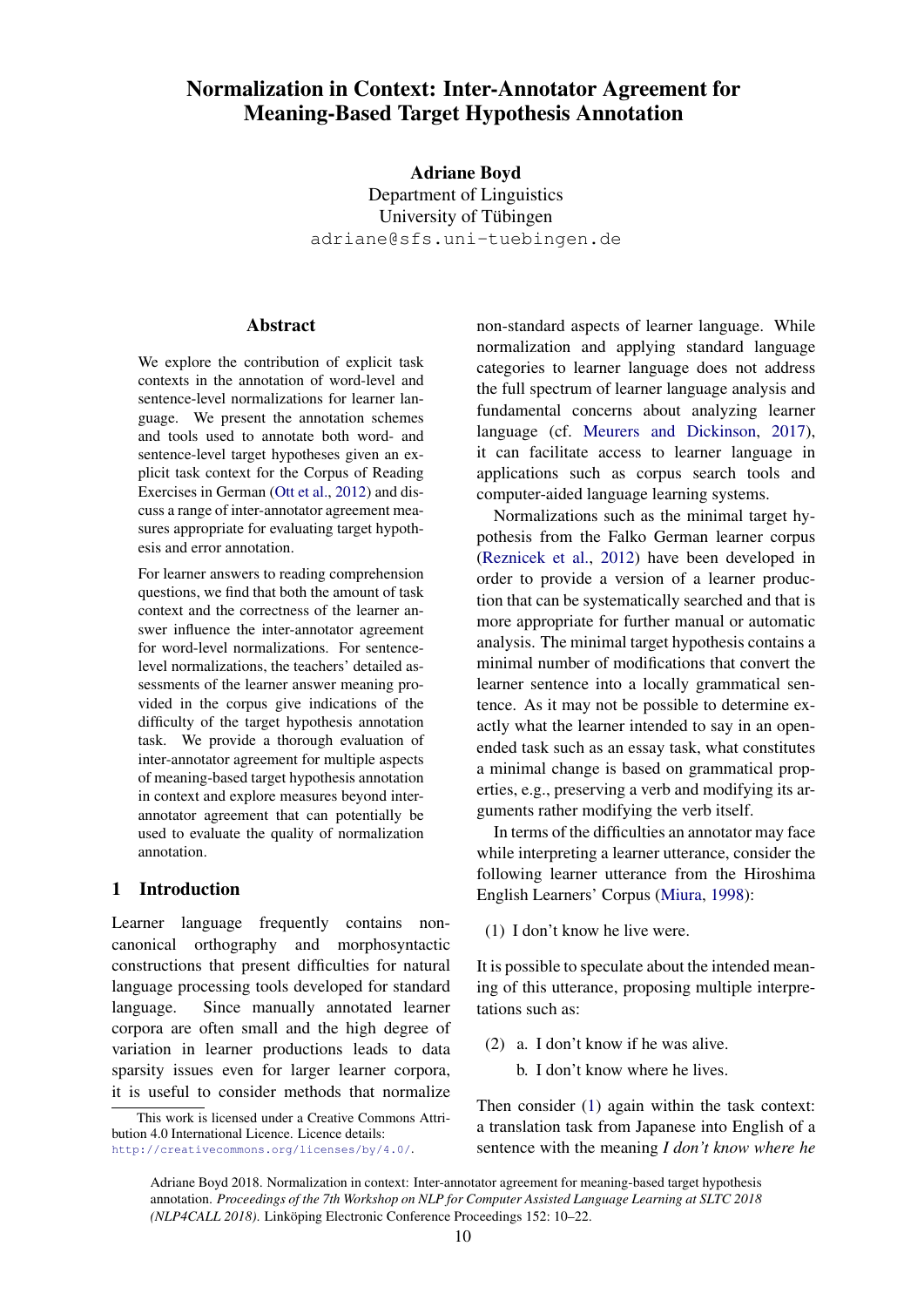# Normalization in Context: Inter-Annotator Agreement for Meaning-Based Target Hypothesis Annotation

Adriane Boyd Department of Linguistics University of Tübingen adriane@sfs.uni-tuebingen.de

## Abstract

We explore the contribution of explicit task contexts in the annotation of word-level and sentence-level normalizations for learner language. We present the annotation schemes and tools used to annotate both word- and sentence-level target hypotheses given an explicit task context for the Corpus of Reading Exercises in German (Ott et al., 2012) and discuss a range of inter-annotator agreement measures appropriate for evaluating target hypothesis and error annotation.

For learner answers to reading comprehension questions, we find that both the amount of task context and the correctness of the learner answer influence the inter-annotator agreement for word-level normalizations. For sentencelevel normalizations, the teachers' detailed assessments of the learner answer meaning provided in the corpus give indications of the difficulty of the target hypothesis annotation task. We provide a thorough evaluation of inter-annotator agreement for multiple aspects of meaning-based target hypothesis annotation in context and explore measures beyond interannotator agreement that can potentially be used to evaluate the quality of normalization annotation.

#### 1 Introduction

Learner language frequently contains noncanonical orthography and morphosyntactic constructions that present difficulties for natural language processing tools developed for standard language. Since manually annotated learner corpora are often small and the high degree of variation in learner productions leads to data sparsity issues even for larger learner corpora, it is useful to consider methods that normalize

non-standard aspects of learner language. While normalization and applying standard language categories to learner language does not address the full spectrum of learner language analysis and fundamental concerns about analyzing learner language (cf. Meurers and Dickinson, 2017), it can facilitate access to learner language in applications such as corpus search tools and computer-aided language learning systems.

Normalizations such as the minimal target hypothesis from the Falko German learner corpus (Reznicek et al., 2012) have been developed in order to provide a version of a learner production that can be systematically searched and that is more appropriate for further manual or automatic analysis. The minimal target hypothesis contains a minimal number of modifications that convert the learner sentence into a locally grammatical sentence. As it may not be possible to determine exactly what the learner intended to say in an openended task such as an essay task, what constitutes a minimal change is based on grammatical properties, e.g., preserving a verb and modifying its arguments rather modifying the verb itself.

In terms of the difficulties an annotator may face while interpreting a learner utterance, consider the following learner utterance from the Hiroshima English Learners' Corpus (Miura, 1998):

(1) I don't know he live were.

It is possible to speculate about the intended meaning of this utterance, proposing multiple interpretations such as:

- (2) a. I don't know if he was alive.
	- b. I don't know where he lives.

Then consider (1) again within the task context: a translation task from Japanese into English of a sentence with the meaning *I don't know where he*

This work is licensed under a Creative Commons Attribution 4.0 International Licence. Licence details: http://creativecommons.org/licenses/by/4.0/.

Adriane Boyd 2018. Normalization in context: Inter-annotator agreement for meaning-based target hypothesis annotation. *Proceedings of the 7th Workshop on NLP for Computer Assisted Language Learning at SLTC 2018 (NLP4CALL 2018)*. Linköping Electronic Conference Proceedings 152: 10–22.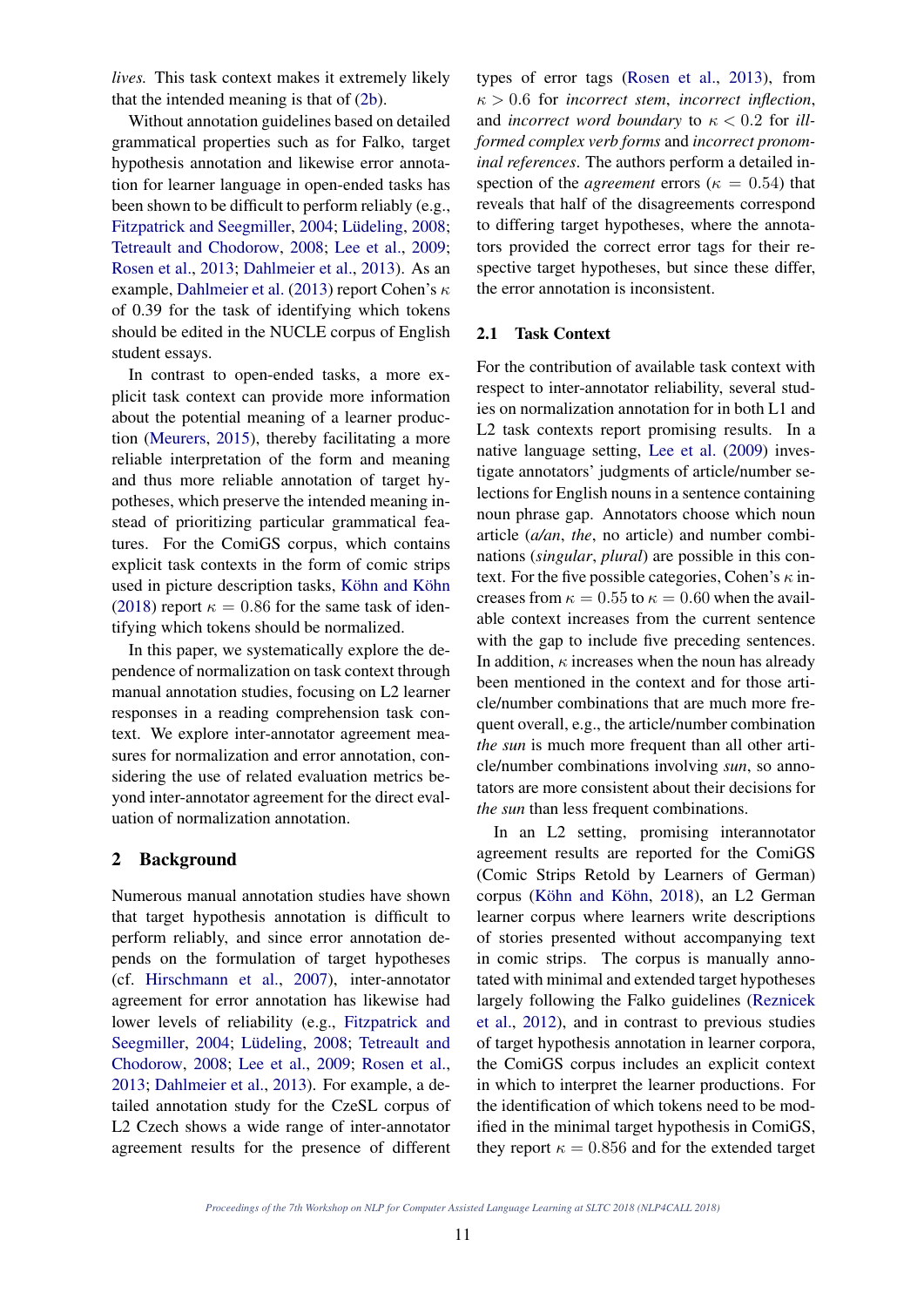*lives.* This task context makes it extremely likely that the intended meaning is that of (2b).

Without annotation guidelines based on detailed grammatical properties such as for Falko, target hypothesis annotation and likewise error annotation for learner language in open-ended tasks has been shown to be difficult to perform reliably (e.g., Fitzpatrick and Seegmiller, 2004; Lüdeling, 2008; Tetreault and Chodorow, 2008; Lee et al., 2009; Rosen et al., 2013; Dahlmeier et al., 2013). As an example, Dahlmeier et al. (2013) report Cohen's κ of 0.39 for the task of identifying which tokens should be edited in the NUCLE corpus of English student essays.

In contrast to open-ended tasks, a more explicit task context can provide more information about the potential meaning of a learner production (Meurers, 2015), thereby facilitating a more reliable interpretation of the form and meaning and thus more reliable annotation of target hypotheses, which preserve the intended meaning instead of prioritizing particular grammatical features. For the ComiGS corpus, which contains explicit task contexts in the form of comic strips used in picture description tasks, Köhn and Köhn (2018) report  $\kappa = 0.86$  for the same task of identifying which tokens should be normalized.

In this paper, we systematically explore the dependence of normalization on task context through manual annotation studies, focusing on L2 learner responses in a reading comprehension task context. We explore inter-annotator agreement measures for normalization and error annotation, considering the use of related evaluation metrics beyond inter-annotator agreement for the direct evaluation of normalization annotation.

## 2 Background

Numerous manual annotation studies have shown that target hypothesis annotation is difficult to perform reliably, and since error annotation depends on the formulation of target hypotheses (cf. Hirschmann et al., 2007), inter-annotator agreement for error annotation has likewise had lower levels of reliability (e.g., Fitzpatrick and Seegmiller, 2004; Lüdeling, 2008; Tetreault and Chodorow, 2008; Lee et al., 2009; Rosen et al., 2013; Dahlmeier et al., 2013). For example, a detailed annotation study for the CzeSL corpus of L2 Czech shows a wide range of inter-annotator agreement results for the presence of different

types of error tags (Rosen et al., 2013), from  $\kappa > 0.6$  for *incorrect stem*, *incorrect inflection*, and *incorrect word boundary* to  $\kappa < 0.2$  for *illformed complex verb forms* and *incorrect pronominal references*. The authors perform a detailed inspection of the *agreement* errors ( $\kappa = 0.54$ ) that reveals that half of the disagreements correspond to differing target hypotheses, where the annotators provided the correct error tags for their respective target hypotheses, but since these differ, the error annotation is inconsistent.

## 2.1 Task Context

For the contribution of available task context with respect to inter-annotator reliability, several studies on normalization annotation for in both L1 and L2 task contexts report promising results. In a native language setting, Lee et al. (2009) investigate annotators' judgments of article/number selections for English nouns in a sentence containing noun phrase gap. Annotators choose which noun article (*a/an*, *the*, no article) and number combinations (*singular*, *plural*) are possible in this context. For the five possible categories, Cohen's  $\kappa$  increases from  $\kappa = 0.55$  to  $\kappa = 0.60$  when the available context increases from the current sentence with the gap to include five preceding sentences. In addition,  $\kappa$  increases when the noun has already been mentioned in the context and for those article/number combinations that are much more frequent overall, e.g., the article/number combination *the sun* is much more frequent than all other article/number combinations involving *sun*, so annotators are more consistent about their decisions for *the sun* than less frequent combinations.

In an L2 setting, promising interannotator agreement results are reported for the ComiGS (Comic Strips Retold by Learners of German) corpus (Köhn and Köhn, 2018), an L2 German learner corpus where learners write descriptions of stories presented without accompanying text in comic strips. The corpus is manually annotated with minimal and extended target hypotheses largely following the Falko guidelines (Reznicek et al., 2012), and in contrast to previous studies of target hypothesis annotation in learner corpora, the ComiGS corpus includes an explicit context in which to interpret the learner productions. For the identification of which tokens need to be modified in the minimal target hypothesis in ComiGS, they report  $\kappa = 0.856$  and for the extended target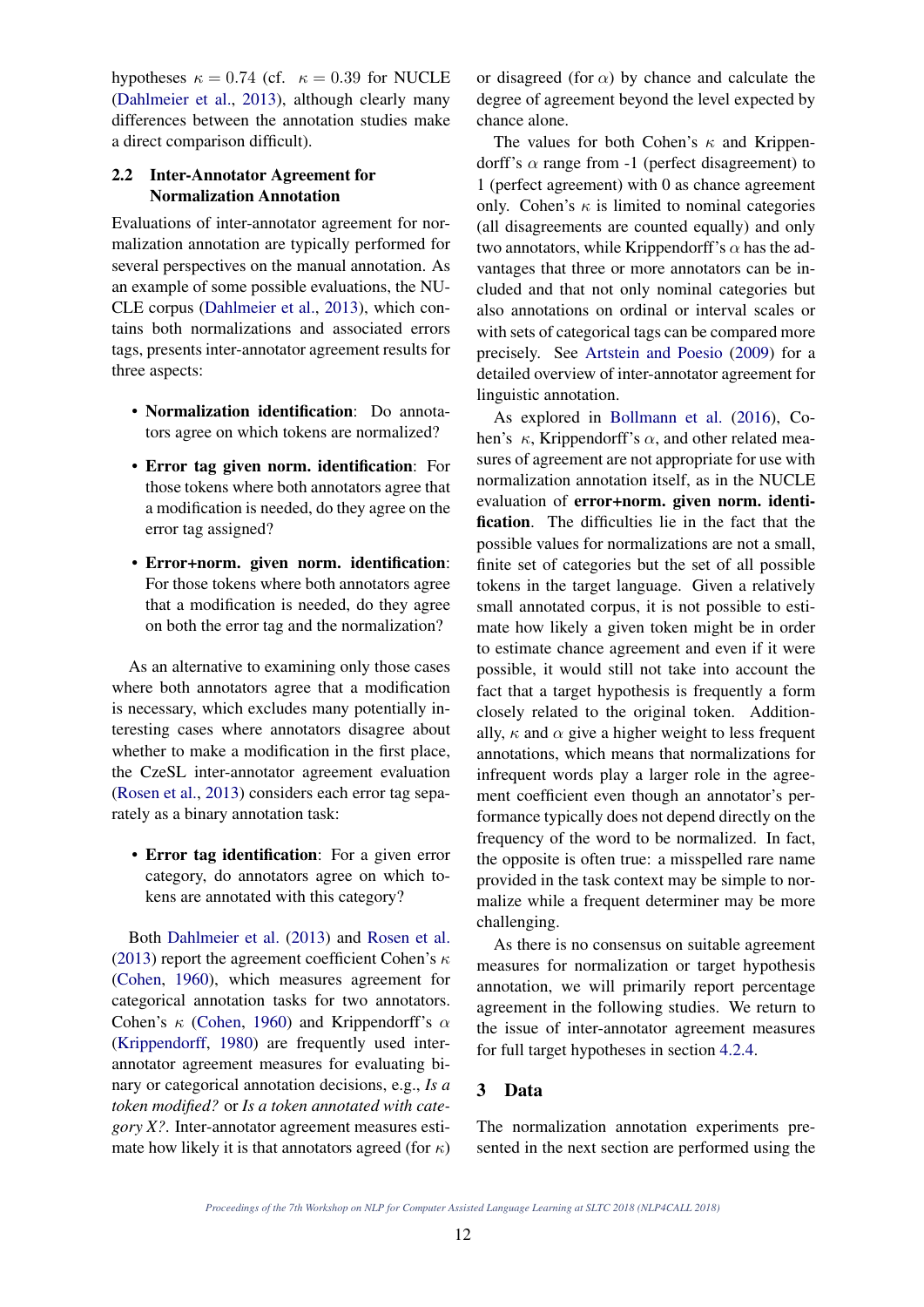hypotheses  $\kappa = 0.74$  (cf.  $\kappa = 0.39$  for NUCLE (Dahlmeier et al., 2013), although clearly many differences between the annotation studies make a direct comparison difficult).

## 2.2 Inter-Annotator Agreement for Normalization Annotation

Evaluations of inter-annotator agreement for normalization annotation are typically performed for several perspectives on the manual annotation. As an example of some possible evaluations, the NU-CLE corpus (Dahlmeier et al., 2013), which contains both normalizations and associated errors tags, presents inter-annotator agreement results for three aspects:

- Normalization identification: Do annotators agree on which tokens are normalized?
- Error tag given norm. identification: For those tokens where both annotators agree that a modification is needed, do they agree on the error tag assigned?
- Error+norm. given norm. identification: For those tokens where both annotators agree that a modification is needed, do they agree on both the error tag and the normalization?

As an alternative to examining only those cases where both annotators agree that a modification is necessary, which excludes many potentially interesting cases where annotators disagree about whether to make a modification in the first place, the CzeSL inter-annotator agreement evaluation (Rosen et al., 2013) considers each error tag separately as a binary annotation task:

• Error tag identification: For a given error category, do annotators agree on which tokens are annotated with this category?

Both Dahlmeier et al. (2013) and Rosen et al. (2013) report the agreement coefficient Cohen's  $\kappa$ (Cohen, 1960), which measures agreement for categorical annotation tasks for two annotators. Cohen's  $\kappa$  (Cohen, 1960) and Krippendorff's  $\alpha$ (Krippendorff, 1980) are frequently used interannotator agreement measures for evaluating binary or categorical annotation decisions, e.g., *Is a token modified?* or *Is a token annotated with category X?*. Inter-annotator agreement measures estimate how likely it is that annotators agreed (for  $\kappa$ )

or disagreed (for  $\alpha$ ) by chance and calculate the degree of agreement beyond the level expected by chance alone.

The values for both Cohen's  $\kappa$  and Krippendorff's  $\alpha$  range from -1 (perfect disagreement) to 1 (perfect agreement) with 0 as chance agreement only. Cohen's  $\kappa$  is limited to nominal categories (all disagreements are counted equally) and only two annotators, while Krippendorff's  $\alpha$  has the advantages that three or more annotators can be included and that not only nominal categories but also annotations on ordinal or interval scales or with sets of categorical tags can be compared more precisely. See Artstein and Poesio (2009) for a detailed overview of inter-annotator agreement for linguistic annotation.

As explored in Bollmann et al. (2016), Cohen's  $\kappa$ , Krippendorff's  $\alpha$ , and other related measures of agreement are not appropriate for use with normalization annotation itself, as in the NUCLE evaluation of error+norm. given norm. identification. The difficulties lie in the fact that the possible values for normalizations are not a small, finite set of categories but the set of all possible tokens in the target language. Given a relatively small annotated corpus, it is not possible to estimate how likely a given token might be in order to estimate chance agreement and even if it were possible, it would still not take into account the fact that a target hypothesis is frequently a form closely related to the original token. Additionally,  $\kappa$  and  $\alpha$  give a higher weight to less frequent annotations, which means that normalizations for infrequent words play a larger role in the agreement coefficient even though an annotator's performance typically does not depend directly on the frequency of the word to be normalized. In fact, the opposite is often true: a misspelled rare name provided in the task context may be simple to normalize while a frequent determiner may be more challenging.

As there is no consensus on suitable agreement measures for normalization or target hypothesis annotation, we will primarily report percentage agreement in the following studies. We return to the issue of inter-annotator agreement measures for full target hypotheses in section 4.2.4.

## 3 Data

The normalization annotation experiments presented in the next section are performed using the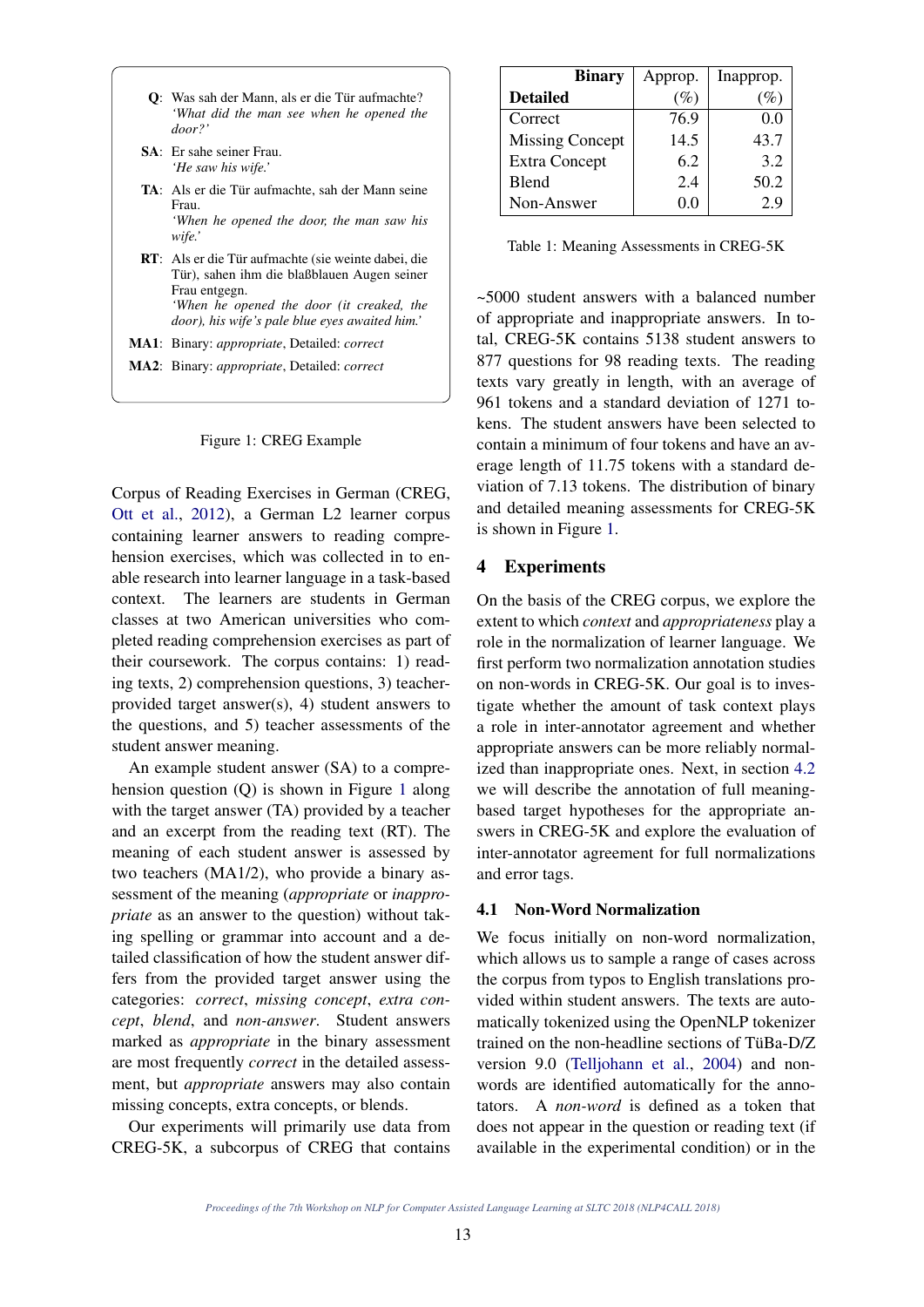- Q: Was sah der Mann, als er die Tür aufmachte? *'What did the man see when he opened the door?'*
- SA: Er sahe seiner Frau. *'He saw his wife.'*
- TA: Als er die Tür aufmachte, sah der Mann seine Frau.

*'When he opened the door, the man saw his wife.'*

- RT: Als er die Tür aufmachte (sie weinte dabei, die Tür), sahen ihm die blaßblauen Augen seiner Frau entgegn. *'When he opened the door (it creaked, the door), his wife's pale blue eyes awaited him.'*
- MA1: Binary: *appropriate*, Detailed: *correct*
- MA2: Binary: *appropriate*, Detailed: *correct*

#### Figure 1: CREG Example

Corpus of Reading Exercises in German (CREG, Ott et al., 2012), a German L2 learner corpus containing learner answers to reading comprehension exercises, which was collected in to enable research into learner language in a task-based context. The learners are students in German classes at two American universities who completed reading comprehension exercises as part of their coursework. The corpus contains: 1) reading texts, 2) comprehension questions, 3) teacherprovided target answer(s), 4) student answers to the questions, and 5) teacher assessments of the student answer meaning.

An example student answer (SA) to a comprehension question (Q) is shown in Figure 1 along with the target answer (TA) provided by a teacher and an excerpt from the reading text (RT). The meaning of each student answer is assessed by two teachers (MA1/2), who provide a binary assessment of the meaning (*appropriate* or *inappropriate* as an answer to the question) without taking spelling or grammar into account and a detailed classification of how the student answer differs from the provided target answer using the categories: *correct*, *missing concept*, *extra concept*, *blend*, and *non-answer*. Student answers marked as *appropriate* in the binary assessment are most frequently *correct* in the detailed assessment, but *appropriate* answers may also contain missing concepts, extra concepts, or blends.

Our experiments will primarily use data from CREG-5K, a subcorpus of CREG that contains

| <b>Binary</b>          | Approp. | Inapprop. |
|------------------------|---------|-----------|
| <b>Detailed</b>        | $(\%)$  | %         |
| Correct                | 76.9    | 0.0       |
| <b>Missing Concept</b> | 14.5    | 43.7      |
| <b>Extra Concept</b>   | 6.2     | 3.2       |
| Blend                  | 2.4     | 50.2      |
| Non-Answer             | $0.0\,$ | 2.9       |

Table 1: Meaning Assessments in CREG-5K

~5000 student answers with a balanced number of appropriate and inappropriate answers. In total, CREG-5K contains 5138 student answers to 877 questions for 98 reading texts. The reading texts vary greatly in length, with an average of 961 tokens and a standard deviation of 1271 tokens. The student answers have been selected to contain a minimum of four tokens and have an average length of 11.75 tokens with a standard deviation of 7.13 tokens. The distribution of binary and detailed meaning assessments for CREG-5K is shown in Figure 1.

# 4 Experiments

On the basis of the CREG corpus, we explore the extent to which *context* and *appropriateness* play a role in the normalization of learner language. We first perform two normalization annotation studies on non-words in CREG-5K. Our goal is to investigate whether the amount of task context plays a role in inter-annotator agreement and whether appropriate answers can be more reliably normalized than inappropriate ones. Next, in section 4.2 we will describe the annotation of full meaningbased target hypotheses for the appropriate answers in CREG-5K and explore the evaluation of inter-annotator agreement for full normalizations and error tags.

## 4.1 Non-Word Normalization

We focus initially on non-word normalization, which allows us to sample a range of cases across the corpus from typos to English translations provided within student answers. The texts are automatically tokenized using the OpenNLP tokenizer trained on the non-headline sections of TüBa-D/Z version 9.0 (Telljohann et al., 2004) and nonwords are identified automatically for the annotators. A *non-word* is defined as a token that does not appear in the question or reading text (if available in the experimental condition) or in the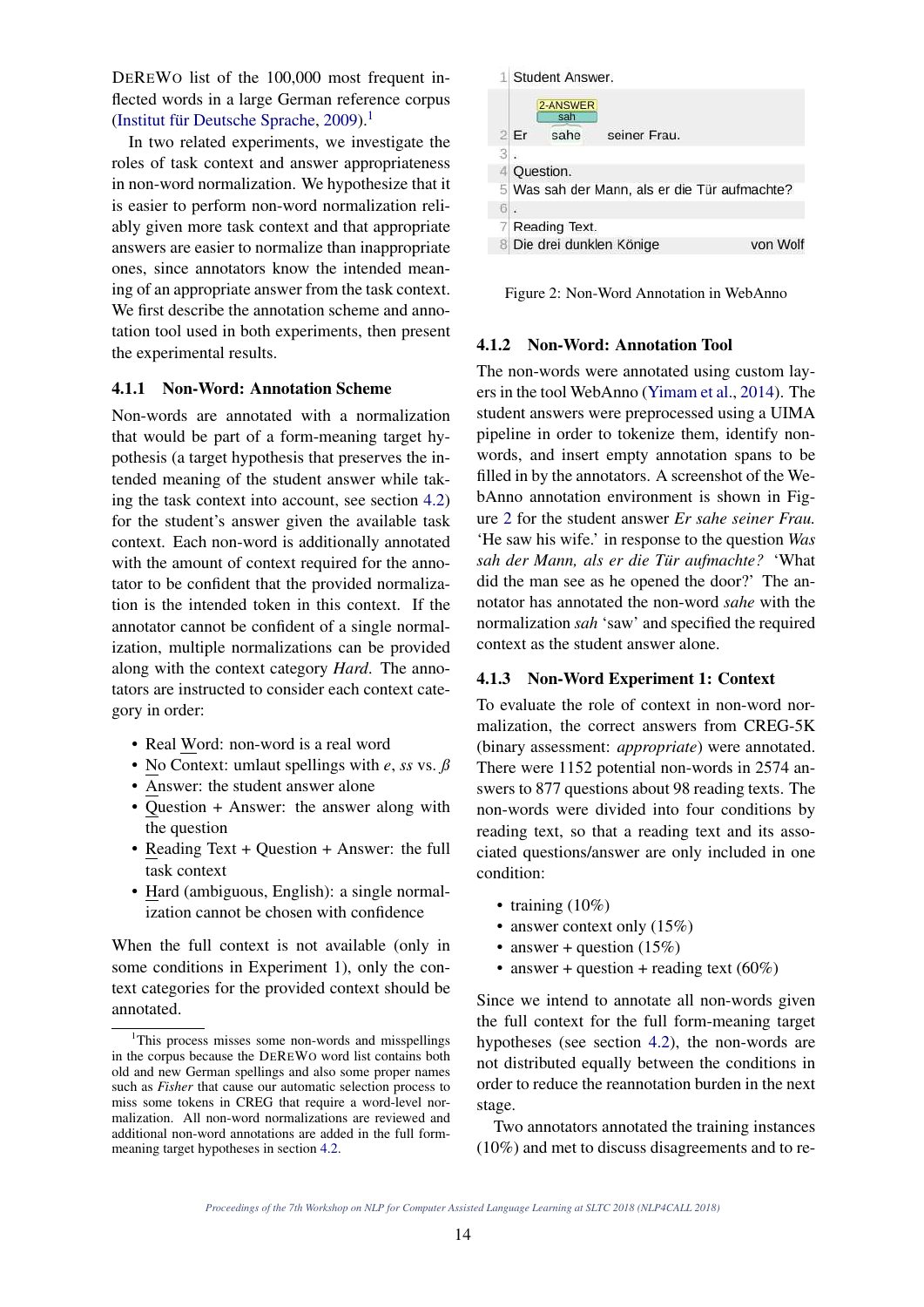DEREWO list of the 100,000 most frequent inflected words in a large German reference corpus (Institut für Deutsche Sprache, 2009).<sup>1</sup>

In two related experiments, we investigate the roles of task context and answer appropriateness in non-word normalization. We hypothesize that it is easier to perform non-word normalization reliably given more task context and that appropriate answers are easier to normalize than inappropriate ones, since annotators know the intended meaning of an appropriate answer from the task context. We first describe the annotation scheme and annotation tool used in both experiments, then present the experimental results.

## 4.1.1 Non-Word: Annotation Scheme

Non-words are annotated with a normalization that would be part of a form-meaning target hypothesis (a target hypothesis that preserves the intended meaning of the student answer while taking the task context into account, see section 4.2) for the student's answer given the available task context. Each non-word is additionally annotated with the amount of context required for the annotator to be confident that the provided normalization is the intended token in this context. If the annotator cannot be confident of a single normalization, multiple normalizations can be provided along with the context category *Hard*. The annotators are instructed to consider each context category in order:

- Real Word: non-word is a real word
- No Context: umlaut spellings with *e*, *ss* vs. *ß*
- Answer: the student answer alone
- Question + Answer: the answer along with the question
- Reading Text + Question + Answer: the full task context
- Hard (ambiguous, English): a single normalization cannot be chosen with confidence

When the full context is not available (only in some conditions in Experiment 1), only the context categories for the provided context should be annotated.



Figure 2: Non-Word Annotation in WebAnno

#### 4.1.2 Non-Word: Annotation Tool

The non-words were annotated using custom layers in the tool WebAnno (Yimam et al., 2014). The student answers were preprocessed using a UIMA pipeline in order to tokenize them, identify nonwords, and insert empty annotation spans to be filled in by the annotators. A screenshot of the WebAnno annotation environment is shown in Figure 2 for the student answer *Er sahe seiner Frau.* 'He saw his wife.' in response to the question *Was sah der Mann, als er die Tur aufmachte? ¨* 'What did the man see as he opened the door?' The annotator has annotated the non-word *sahe* with the normalization *sah* 'saw' and specified the required context as the student answer alone.

### 4.1.3 Non-Word Experiment 1: Context

To evaluate the role of context in non-word normalization, the correct answers from CREG-5K (binary assessment: *appropriate*) were annotated. There were 1152 potential non-words in 2574 answers to 877 questions about 98 reading texts. The non-words were divided into four conditions by reading text, so that a reading text and its associated questions/answer are only included in one condition:

- training  $(10\%)$
- answer context only  $(15%)$
- answer + question  $(15%)$
- answer + question + reading text  $(60\%)$

Since we intend to annotate all non-words given the full context for the full form-meaning target hypotheses (see section 4.2), the non-words are not distributed equally between the conditions in order to reduce the reannotation burden in the next stage.

Two annotators annotated the training instances (10%) and met to discuss disagreements and to re-

<sup>&</sup>lt;sup>1</sup>This process misses some non-words and misspellings in the corpus because the DEREWO word list contains both old and new German spellings and also some proper names such as *Fisher* that cause our automatic selection process to miss some tokens in CREG that require a word-level normalization. All non-word normalizations are reviewed and additional non-word annotations are added in the full formmeaning target hypotheses in section 4.2.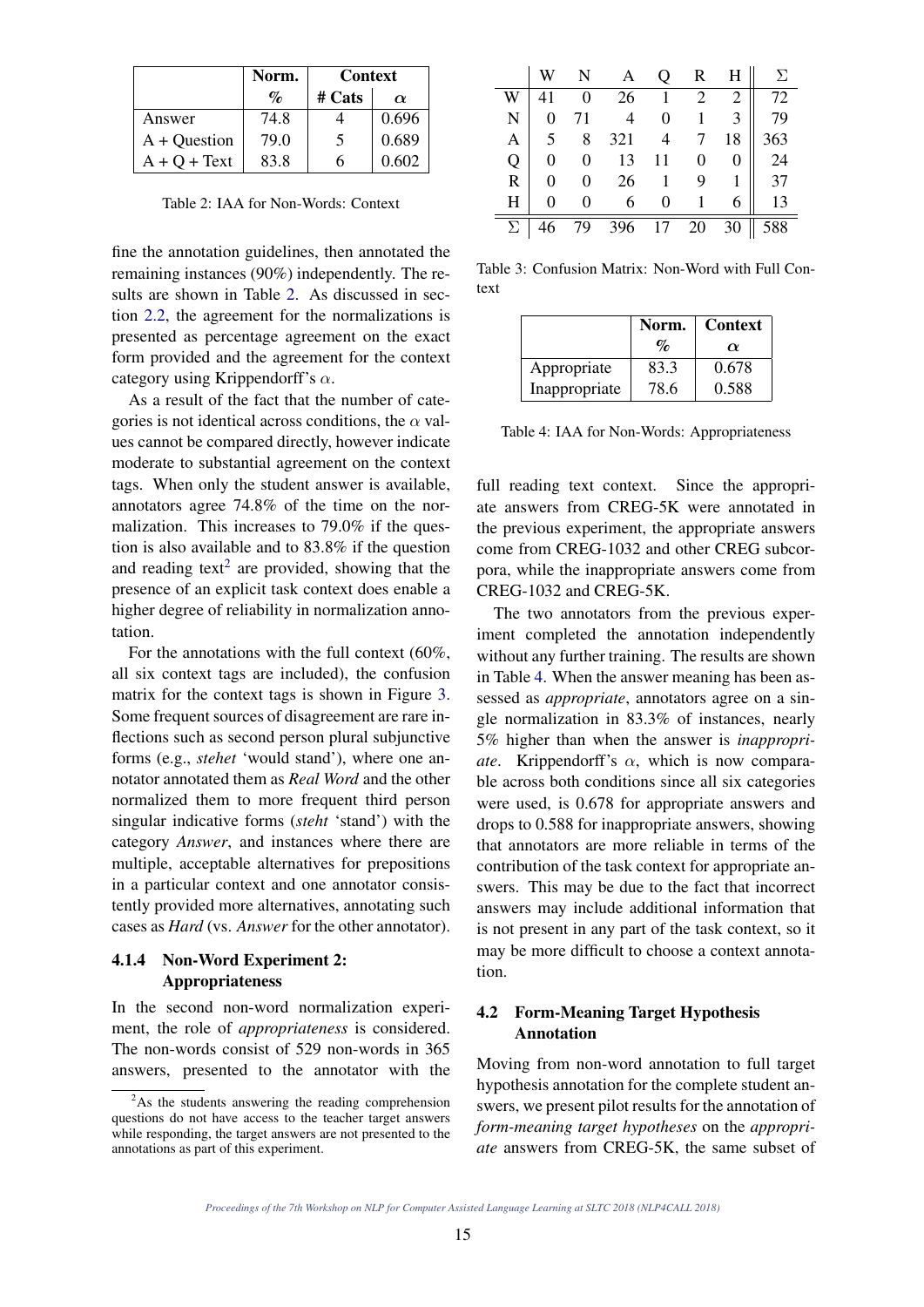|                | Norm.                     | <b>Context</b> |          |
|----------------|---------------------------|----------------|----------|
|                | $\mathcal{O}_\mathcal{D}$ | $#$ Cats       | $\alpha$ |
| Answer         | 74.8                      |                | 0.696    |
| $A + Question$ | 79.0                      | 5              | 0.689    |
| $A + Q + Text$ | 83.8                      | h              | 0.602    |

Table 2: IAA for Non-Words: Context

fine the annotation guidelines, then annotated the remaining instances (90%) independently. The results are shown in Table 2. As discussed in section 2.2, the agreement for the normalizations is presented as percentage agreement on the exact form provided and the agreement for the context category using Krippendorff's  $\alpha$ .

As a result of the fact that the number of categories is not identical across conditions, the  $\alpha$  values cannot be compared directly, however indicate moderate to substantial agreement on the context tags. When only the student answer is available, annotators agree 74.8% of the time on the normalization. This increases to 79.0% if the question is also available and to 83.8% if the question and reading text<sup>2</sup> are provided, showing that the presence of an explicit task context does enable a higher degree of reliability in normalization annotation.

For the annotations with the full context (60%, all six context tags are included), the confusion matrix for the context tags is shown in Figure 3. Some frequent sources of disagreement are rare inflections such as second person plural subjunctive forms (e.g., *stehet* 'would stand'), where one annotator annotated them as *Real Word* and the other normalized them to more frequent third person singular indicative forms (*steht* 'stand') with the category *Answer*, and instances where there are multiple, acceptable alternatives for prepositions in a particular context and one annotator consistently provided more alternatives, annotating such cases as *Hard* (vs. *Answer* for the other annotator).

## 4.1.4 Non-Word Experiment 2: Appropriateness

In the second non-word normalization experiment, the role of *appropriateness* is considered. The non-words consist of 529 non-words in 365 answers, presented to the annotator with the

|   |   |          |                |                | $\mathbf{R}$   | H  | $\Sigma$ |
|---|---|----------|----------------|----------------|----------------|----|----------|
|   |   | 0        | 26             | 1              | $\overline{2}$ | 2  | 72       |
| N | 0 | 71       | $\overline{4}$ | $\overline{0}$ | 1              |    | 79       |
| A | 5 | 8        | 321            | $\overline{4}$ | $\tau$         | 18 | 363      |
| Q |   | 0        | 13             | 11             | 0              |    | 24       |
| R |   | $\theta$ | 26             | 1              | 9              |    | 37       |
| H |   | 0        | 6              | $\overline{0}$ |                |    | 13       |
| Σ |   | 79       | 396            | 17             | 20             | 30 | 588      |

Table 3: Confusion Matrix: Non-Word with Full Context

|               | Norm.                       | <b>Context</b> |  |  |
|---------------|-----------------------------|----------------|--|--|
|               | $\mathcal{O}_{\mathcal{O}}$ | $\alpha$       |  |  |
| Appropriate   | 83.3                        | 0.678          |  |  |
| Inappropriate | 78.6                        | 0.588          |  |  |

Table 4: IAA for Non-Words: Appropriateness

full reading text context. Since the appropriate answers from CREG-5K were annotated in the previous experiment, the appropriate answers come from CREG-1032 and other CREG subcorpora, while the inappropriate answers come from CREG-1032 and CREG-5K.

The two annotators from the previous experiment completed the annotation independently without any further training. The results are shown in Table 4. When the answer meaning has been assessed as *appropriate*, annotators agree on a single normalization in 83.3% of instances, nearly 5% higher than when the answer is *inappropriate.* Krippendorff's  $\alpha$ , which is now comparable across both conditions since all six categories were used, is 0.678 for appropriate answers and drops to 0.588 for inappropriate answers, showing that annotators are more reliable in terms of the contribution of the task context for appropriate answers. This may be due to the fact that incorrect answers may include additional information that is not present in any part of the task context, so it may be more difficult to choose a context annotation.

# 4.2 Form-Meaning Target Hypothesis Annotation

Moving from non-word annotation to full target hypothesis annotation for the complete student answers, we present pilot results for the annotation of *form-meaning target hypotheses* on the *appropriate* answers from CREG-5K, the same subset of

 $^{2}$ As the students answering the reading comprehension questions do not have access to the teacher target answers while responding, the target answers are not presented to the annotations as part of this experiment.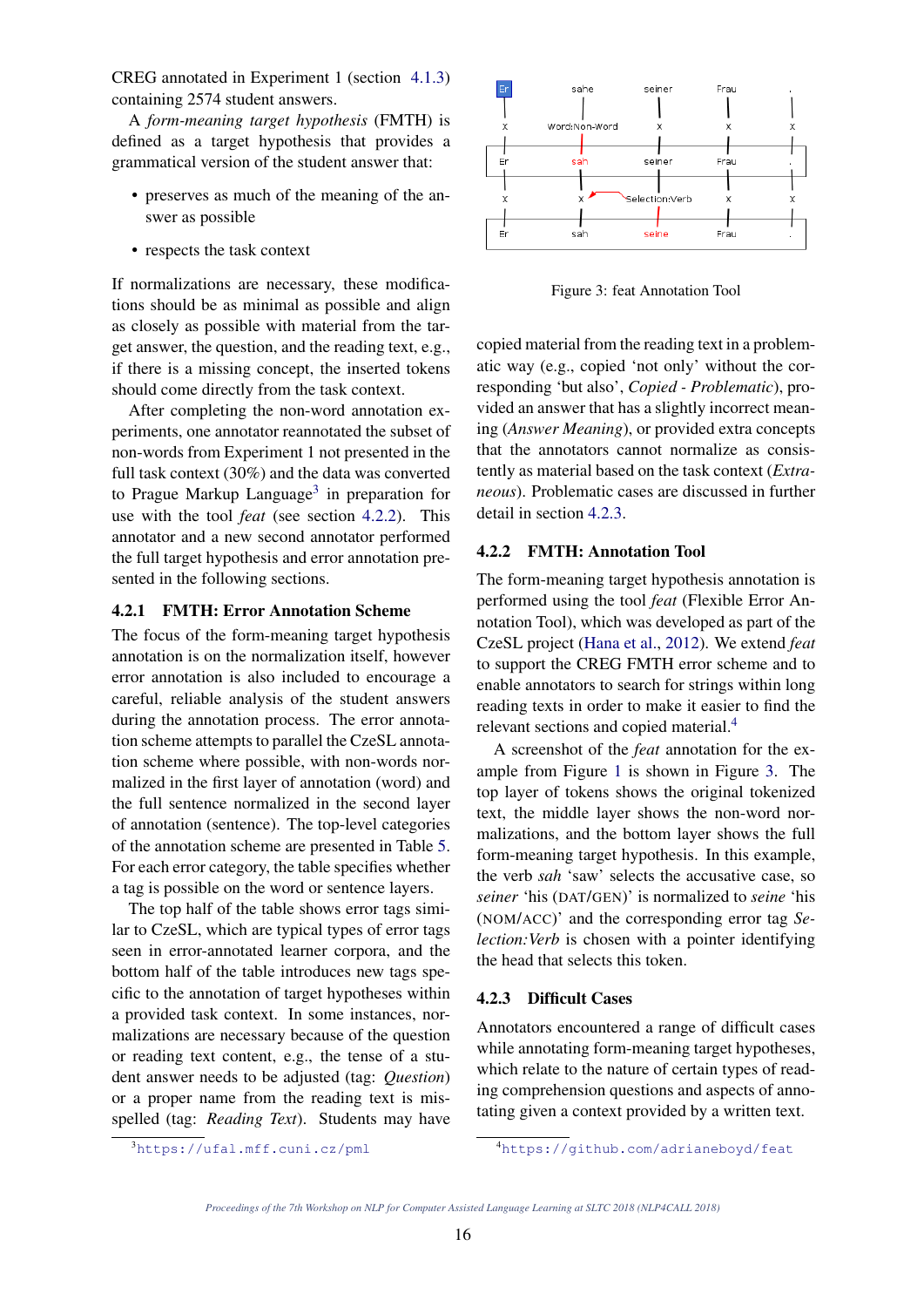CREG annotated in Experiment 1 (section 4.1.3) containing 2574 student answers.

A *form-meaning target hypothesis* (FMTH) is defined as a target hypothesis that provides a grammatical version of the student answer that:

- preserves as much of the meaning of the answer as possible
- respects the task context

If normalizations are necessary, these modifications should be as minimal as possible and align as closely as possible with material from the target answer, the question, and the reading text, e.g., if there is a missing concept, the inserted tokens should come directly from the task context.

After completing the non-word annotation experiments, one annotator reannotated the subset of non-words from Experiment 1 not presented in the full task context (30%) and the data was converted to Prague Markup Language<sup>3</sup> in preparation for use with the tool *feat* (see section 4.2.2). This annotator and a new second annotator performed the full target hypothesis and error annotation presented in the following sections.

## 4.2.1 FMTH: Error Annotation Scheme

The focus of the form-meaning target hypothesis annotation is on the normalization itself, however error annotation is also included to encourage a careful, reliable analysis of the student answers during the annotation process. The error annotation scheme attempts to parallel the CzeSL annotation scheme where possible, with non-words normalized in the first layer of annotation (word) and the full sentence normalized in the second layer of annotation (sentence). The top-level categories of the annotation scheme are presented in Table 5. For each error category, the table specifies whether a tag is possible on the word or sentence layers.

The top half of the table shows error tags similar to CzeSL, which are typical types of error tags seen in error-annotated learner corpora, and the bottom half of the table introduces new tags specific to the annotation of target hypotheses within a provided task context. In some instances, normalizations are necessary because of the question or reading text content, e.g., the tense of a student answer needs to be adjusted (tag: *Question*) or a proper name from the reading text is misspelled (tag: *Reading Text*). Students may have



Figure 3: feat Annotation Tool

copied material from the reading text in a problematic way (e.g., copied 'not only' without the corresponding 'but also', *Copied - Problematic*), provided an answer that has a slightly incorrect meaning (*Answer Meaning*), or provided extra concepts that the annotators cannot normalize as consistently as material based on the task context (*Extraneous*). Problematic cases are discussed in further detail in section 4.2.3.

## 4.2.2 FMTH: Annotation Tool

The form-meaning target hypothesis annotation is performed using the tool *feat* (Flexible Error Annotation Tool), which was developed as part of the CzeSL project (Hana et al., 2012). We extend *feat* to support the CREG FMTH error scheme and to enable annotators to search for strings within long reading texts in order to make it easier to find the relevant sections and copied material.<sup>4</sup>

A screenshot of the *feat* annotation for the example from Figure 1 is shown in Figure 3. The top layer of tokens shows the original tokenized text, the middle layer shows the non-word normalizations, and the bottom layer shows the full form-meaning target hypothesis. In this example, the verb *sah* 'saw' selects the accusative case, so *seiner* 'his (DAT/GEN)' is normalized to *seine* 'his (NOM/ACC)' and the corresponding error tag *Selection: Verb* is chosen with a pointer identifying the head that selects this token.

## 4.2.3 Difficult Cases

Annotators encountered a range of difficult cases while annotating form-meaning target hypotheses, which relate to the nature of certain types of reading comprehension questions and aspects of annotating given a context provided by a written text.

<sup>3</sup>https://ufal.mff.cuni.cz/pml

<sup>4</sup>https://github.com/adrianeboyd/feat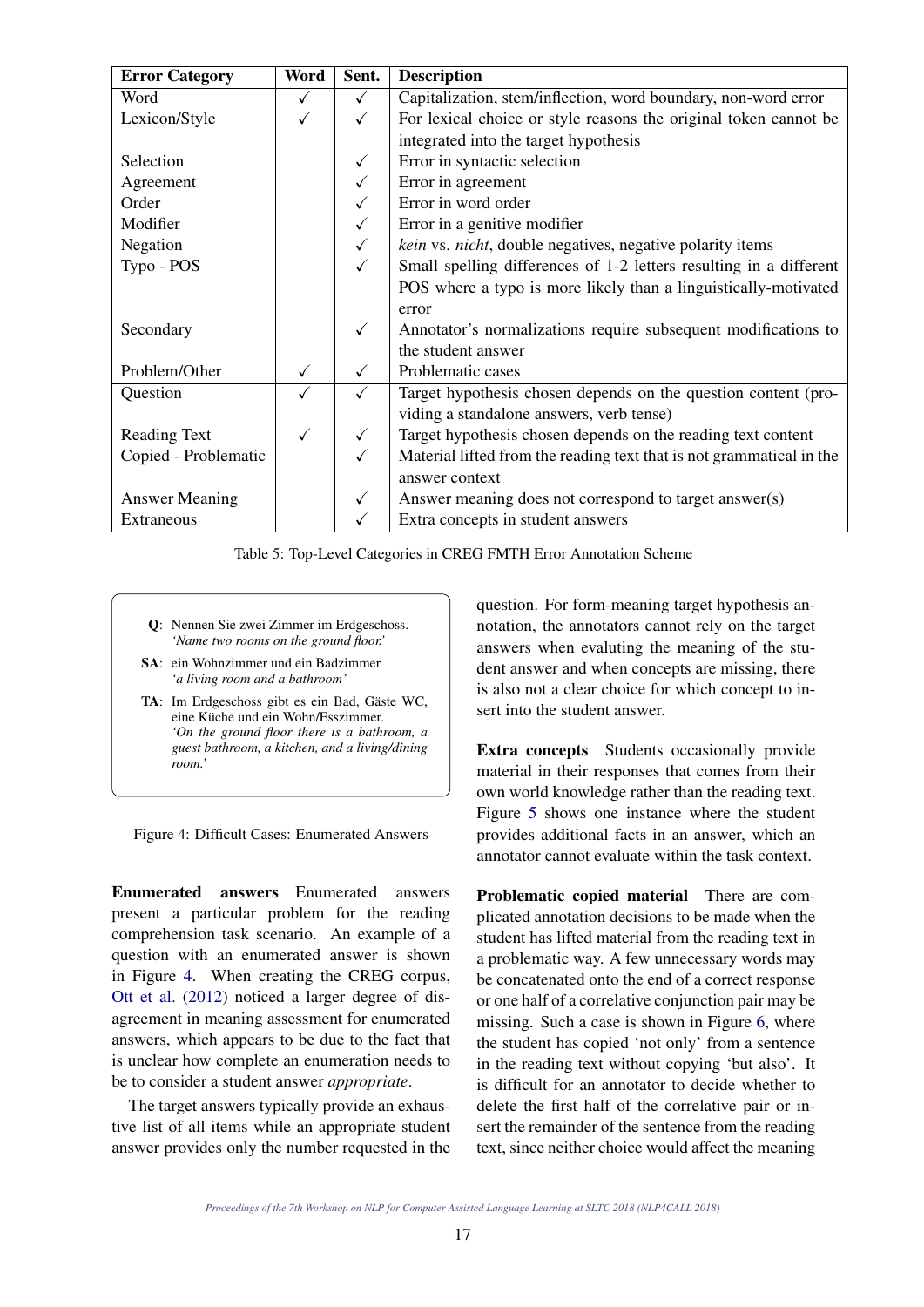| <b>Error Category</b> | <b>Word</b> | Sent.        | <b>Description</b>                                                   |
|-----------------------|-------------|--------------|----------------------------------------------------------------------|
| Word                  | ✓           | $\checkmark$ | Capitalization, stem/inflection, word boundary, non-word error       |
| Lexicon/Style         |             | $\checkmark$ | For lexical choice or style reasons the original token cannot be     |
|                       |             |              | integrated into the target hypothesis                                |
| Selection             |             | $\checkmark$ | Error in syntactic selection                                         |
| Agreement             |             | $\checkmark$ | Error in agreement                                                   |
| Order                 |             | $\checkmark$ | Error in word order                                                  |
| Modifier              |             | $\checkmark$ | Error in a genitive modifier                                         |
| Negation              |             | $\checkmark$ | kein vs. nicht, double negatives, negative polarity items            |
| Typo - POS            |             | $\checkmark$ | Small spelling differences of 1-2 letters resulting in a different   |
|                       |             |              | POS where a typo is more likely than a linguistically-motivated      |
|                       |             |              | error                                                                |
| Secondary             |             | $\checkmark$ | Annotator's normalizations require subsequent modifications to       |
|                       |             |              | the student answer                                                   |
| Problem/Other         | ✓           | $\checkmark$ | Problematic cases                                                    |
| Question              | ✓           | ✓            | Target hypothesis chosen depends on the question content (pro-       |
|                       |             |              | viding a standalone answers, verb tense)                             |
| <b>Reading Text</b>   |             | $\checkmark$ | Target hypothesis chosen depends on the reading text content         |
| Copied - Problematic  |             | ✓            | Material lifted from the reading text that is not grammatical in the |
|                       |             |              | answer context                                                       |
| <b>Answer Meaning</b> |             | $\checkmark$ | Answer meaning does not correspond to target answer(s)               |
| Extraneous            |             |              | Extra concepts in student answers                                    |

Table 5: Top-Level Categories in CREG FMTH Error Annotation Scheme

- Q: Nennen Sie zwei Zimmer im Erdgeschoss. *'Name two rooms on the ground floor.'*
- SA: ein Wohnzimmer und ein Badzimmer *'a living room and a bathroom'*
- TA: Im Erdgeschoss gibt es ein Bad, Gäste WC, eine Küche und ein Wohn/Esszimmer. *'On the ground floor there is a bathroom, a guest bathroom, a kitchen, and a living/dining room.'*

Figure 4: Difficult Cases: Enumerated Answers

Enumerated answers Enumerated answers present a particular problem for the reading comprehension task scenario. An example of a question with an enumerated answer is shown in Figure 4. When creating the CREG corpus, Ott et al. (2012) noticed a larger degree of disagreement in meaning assessment for enumerated answers, which appears to be due to the fact that is unclear how complete an enumeration needs to be to consider a student answer *appropriate*.

The target answers typically provide an exhaustive list of all items while an appropriate student answer provides only the number requested in the

question. For form-meaning target hypothesis annotation, the annotators cannot rely on the target answers when evaluting the meaning of the student answer and when concepts are missing, there is also not a clear choice for which concept to insert into the student answer.

Extra concepts Students occasionally provide material in their responses that comes from their own world knowledge rather than the reading text. Figure 5 shows one instance where the student provides additional facts in an answer, which an annotator cannot evaluate within the task context.

Problematic copied material There are complicated annotation decisions to be made when the student has lifted material from the reading text in a problematic way. A few unnecessary words may be concatenated onto the end of a correct response or one half of a correlative conjunction pair may be missing. Such a case is shown in Figure 6, where the student has copied 'not only' from a sentence in the reading text without copying 'but also'. It is difficult for an annotator to decide whether to delete the first half of the correlative pair or insert the remainder of the sentence from the reading text, since neither choice would affect the meaning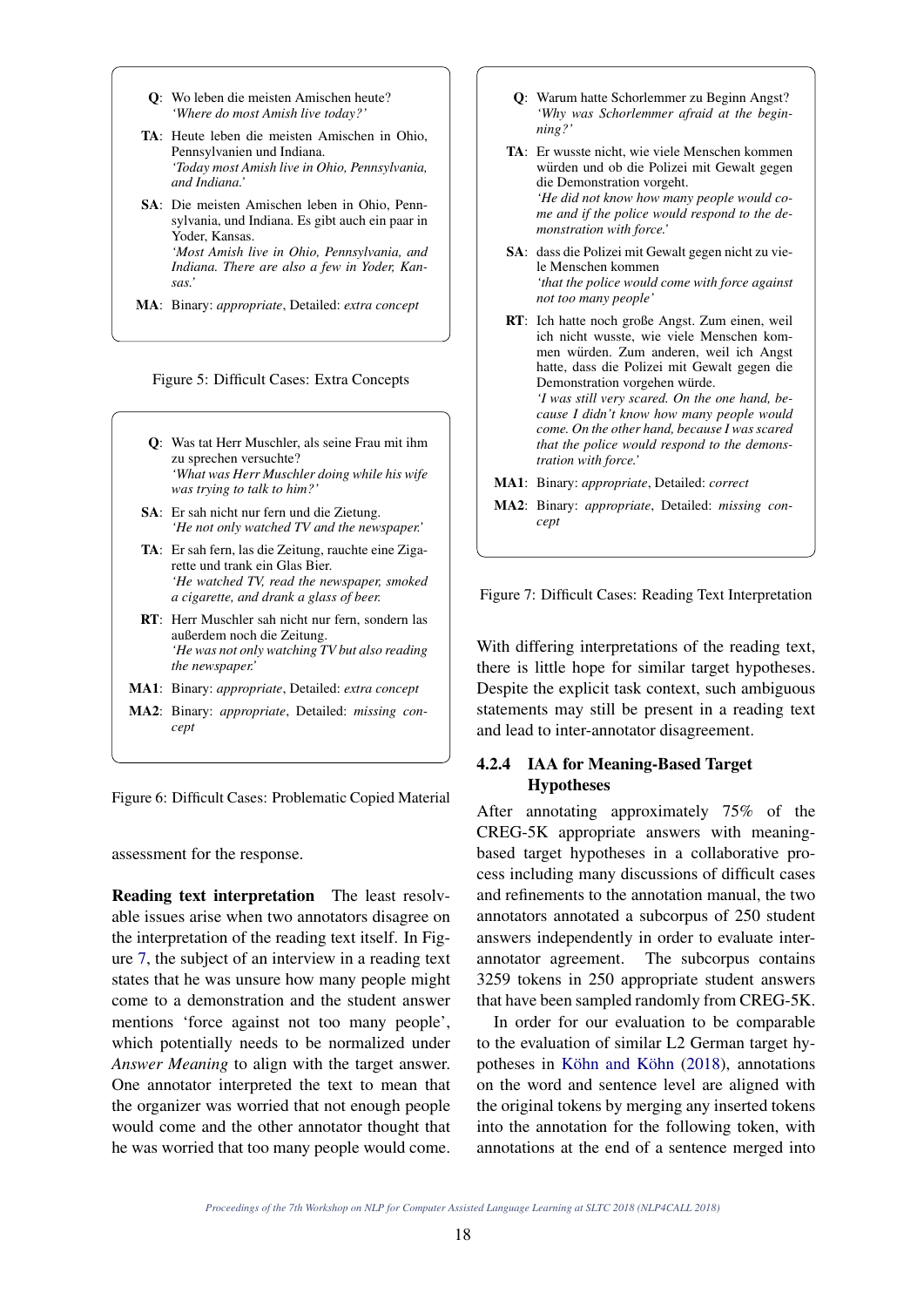- Q: Wo leben die meisten Amischen heute? *'Where do most Amish live today?'*
- TA: Heute leben die meisten Amischen in Ohio, Pennsylvanien und Indiana. *'Today most Amish live in Ohio, Pennsylvania, and Indiana.'*
- SA: Die meisten Amischen leben in Ohio, Pennsylvania, und Indiana. Es gibt auch ein paar in Yoder, Kansas. *'Most Amish live in Ohio, Pennsylvania, and Indiana. There are also a few in Yoder, Kansas.'*
- MA: Binary: *appropriate*, Detailed: *extra concept*



- Q: Was tat Herr Muschler, als seine Frau mit ihm zu sprechen versuchte? *'What was Herr Muschler doing while his wife was trying to talk to him?'*
- SA: Er sah nicht nur fern und die Zietung. *'He not only watched TV and the newspaper.'*
- TA: Er sah fern, las die Zeitung, rauchte eine Zigarette und trank ein Glas Bier. *'He watched TV, read the newspaper, smoked a cigarette, and drank a glass of beer.*
- RT: Herr Muschler sah nicht nur fern, sondern las außerdem noch die Zeitung. *'He was not only watching TV but also reading the newspaper.'*
- MA1: Binary: *appropriate*, Detailed: *extra concept*
- MA2: Binary: *appropriate*, Detailed: *missing concept*

Figure 6: Difficult Cases: Problematic Copied Material

assessment for the response.

Reading text interpretation The least resolvable issues arise when two annotators disagree on the interpretation of the reading text itself. In Figure 7, the subject of an interview in a reading text states that he was unsure how many people might come to a demonstration and the student answer mentions 'force against not too many people', which potentially needs to be normalized under *Answer Meaning* to align with the target answer. One annotator interpreted the text to mean that the organizer was worried that not enough people would come and the other annotator thought that he was worried that too many people would come.

- Q: Warum hatte Schorlemmer zu Beginn Angst? *'Why was Schorlemmer afraid at the beginning?'*
- TA: Er wusste nicht, wie viele Menschen kommen würden und ob die Polizei mit Gewalt gegen die Demonstration vorgeht. *'He did not know how many people would come and if the police would respond to the demonstration with force.'*
- SA: dass die Polizei mit Gewalt gegen nicht zu viele Menschen kommen *'that the police would come with force against not too many people'*
- RT: Ich hatte noch große Angst. Zum einen, weil ich nicht wusste, wie viele Menschen kommen würden. Zum anderen, weil ich Angst hatte, dass die Polizei mit Gewalt gegen die Demonstration vorgehen würde. *'I was still very scared. On the one hand, because I didn't know how many people would come. On the other hand, because I was scared that the police would respond to the demonstration with force.'*
- MA1: Binary: *appropriate*, Detailed: *correct*
- MA2: Binary: *appropriate*, Detailed: *missing concept*

Figure 7: Difficult Cases: Reading Text Interpretation

With differing interpretations of the reading text, there is little hope for similar target hypotheses. Despite the explicit task context, such ambiguous statements may still be present in a reading text and lead to inter-annotator disagreement.

## 4.2.4 IAA for Meaning-Based Target Hypotheses

After annotating approximately 75% of the CREG-5K appropriate answers with meaningbased target hypotheses in a collaborative process including many discussions of difficult cases and refinements to the annotation manual, the two annotators annotated a subcorpus of 250 student answers independently in order to evaluate interannotator agreement. The subcorpus contains 3259 tokens in 250 appropriate student answers that have been sampled randomly from CREG-5K.

In order for our evaluation to be comparable to the evaluation of similar L2 German target hypotheses in Köhn and Köhn  $(2018)$ , annotations on the word and sentence level are aligned with the original tokens by merging any inserted tokens into the annotation for the following token, with annotations at the end of a sentence merged into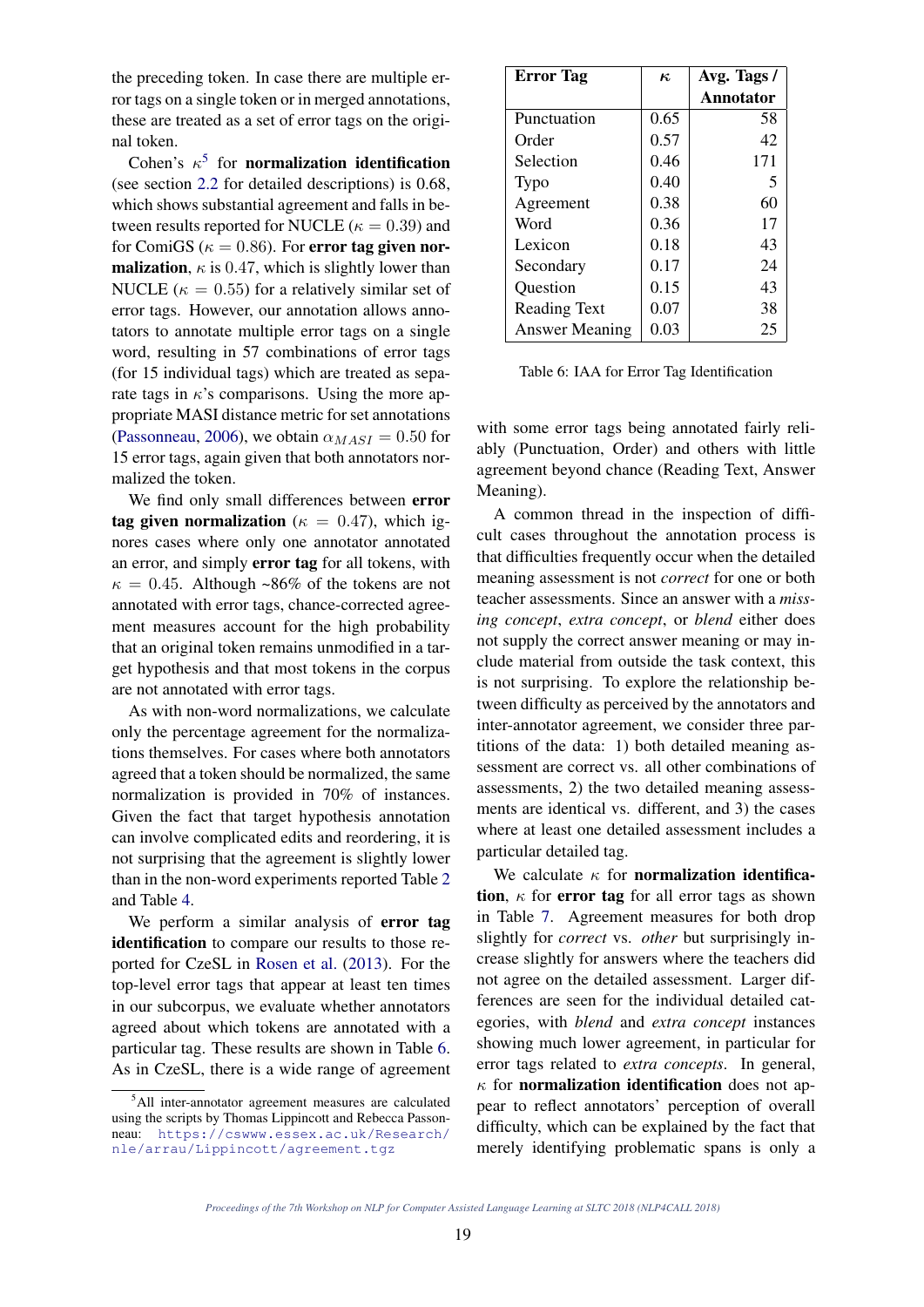the preceding token. In case there are multiple error tags on a single token or in merged annotations, these are treated as a set of error tags on the original token.

Cohen's  $\kappa^5$  for **normalization identification** (see section 2.2 for detailed descriptions) is 0.68, which shows substantial agreement and falls in between results reported for NUCLE ( $\kappa = 0.39$ ) and for ComiGS ( $\kappa = 0.86$ ). For error tag given nor**malization**,  $\kappa$  is 0.47, which is slightly lower than NUCLE ( $\kappa = 0.55$ ) for a relatively similar set of error tags. However, our annotation allows annotators to annotate multiple error tags on a single word, resulting in 57 combinations of error tags (for 15 individual tags) which are treated as separate tags in  $\kappa$ 's comparisons. Using the more appropriate MASI distance metric for set annotations (Passonneau, 2006), we obtain  $\alpha_{MASI} = 0.50$  for 15 error tags, again given that both annotators normalized the token.

We find only small differences between error tag given normalization ( $\kappa = 0.47$ ), which ignores cases where only one annotator annotated an error, and simply error tag for all tokens, with  $\kappa = 0.45$ . Although ~86% of the tokens are not annotated with error tags, chance-corrected agreement measures account for the high probability that an original token remains unmodified in a target hypothesis and that most tokens in the corpus are not annotated with error tags.

As with non-word normalizations, we calculate only the percentage agreement for the normalizations themselves. For cases where both annotators agreed that a token should be normalized, the same normalization is provided in 70% of instances. Given the fact that target hypothesis annotation can involve complicated edits and reordering, it is not surprising that the agreement is slightly lower than in the non-word experiments reported Table 2 and Table 4.

We perform a similar analysis of **error tag** identification to compare our results to those reported for CzeSL in Rosen et al. (2013). For the top-level error tags that appear at least ten times in our subcorpus, we evaluate whether annotators agreed about which tokens are annotated with a particular tag. These results are shown in Table 6. As in CzeSL, there is a wide range of agreement

| <b>Error</b> Tag      | $\kappa$ | Avg. Tags / |
|-----------------------|----------|-------------|
|                       |          | Annotator   |
| Punctuation           | 0.65     | 58          |
| Order                 | 0.57     | 42          |
| Selection             | 0.46     | 171         |
| Typo                  | 0.40     | 5           |
| Agreement             | 0.38     | 60          |
| Word                  | 0.36     | 17          |
| Lexicon               | 0.18     | 43          |
| Secondary             | 0.17     | 24          |
| Question              | 0.15     | 43          |
| <b>Reading Text</b>   | 0.07     | 38          |
| <b>Answer Meaning</b> | 0.03     | 25          |

Table 6: IAA for Error Tag Identification

with some error tags being annotated fairly reliably (Punctuation, Order) and others with little agreement beyond chance (Reading Text, Answer Meaning).

A common thread in the inspection of difficult cases throughout the annotation process is that difficulties frequently occur when the detailed meaning assessment is not *correct* for one or both teacher assessments. Since an answer with a *missing concept*, *extra concept*, or *blend* either does not supply the correct answer meaning or may include material from outside the task context, this is not surprising. To explore the relationship between difficulty as perceived by the annotators and inter-annotator agreement, we consider three partitions of the data: 1) both detailed meaning assessment are correct vs. all other combinations of assessments, 2) the two detailed meaning assessments are identical vs. different, and 3) the cases where at least one detailed assessment includes a particular detailed tag.

We calculate  $\kappa$  for **normalization identifica**tion,  $\kappa$  for error tag for all error tags as shown in Table 7. Agreement measures for both drop slightly for *correct* vs. *other* but surprisingly increase slightly for answers where the teachers did not agree on the detailed assessment. Larger differences are seen for the individual detailed categories, with *blend* and *extra concept* instances showing much lower agreement, in particular for error tags related to *extra concepts*. In general,  $\kappa$  for **normalization identification** does not appear to reflect annotators' perception of overall difficulty, which can be explained by the fact that merely identifying problematic spans is only a

<sup>5</sup>All inter-annotator agreement measures are calculated using the scripts by Thomas Lippincott and Rebecca Passonneau: https://cswww.essex.ac.uk/Research/ nle/arrau/Lippincott/agreement.tgz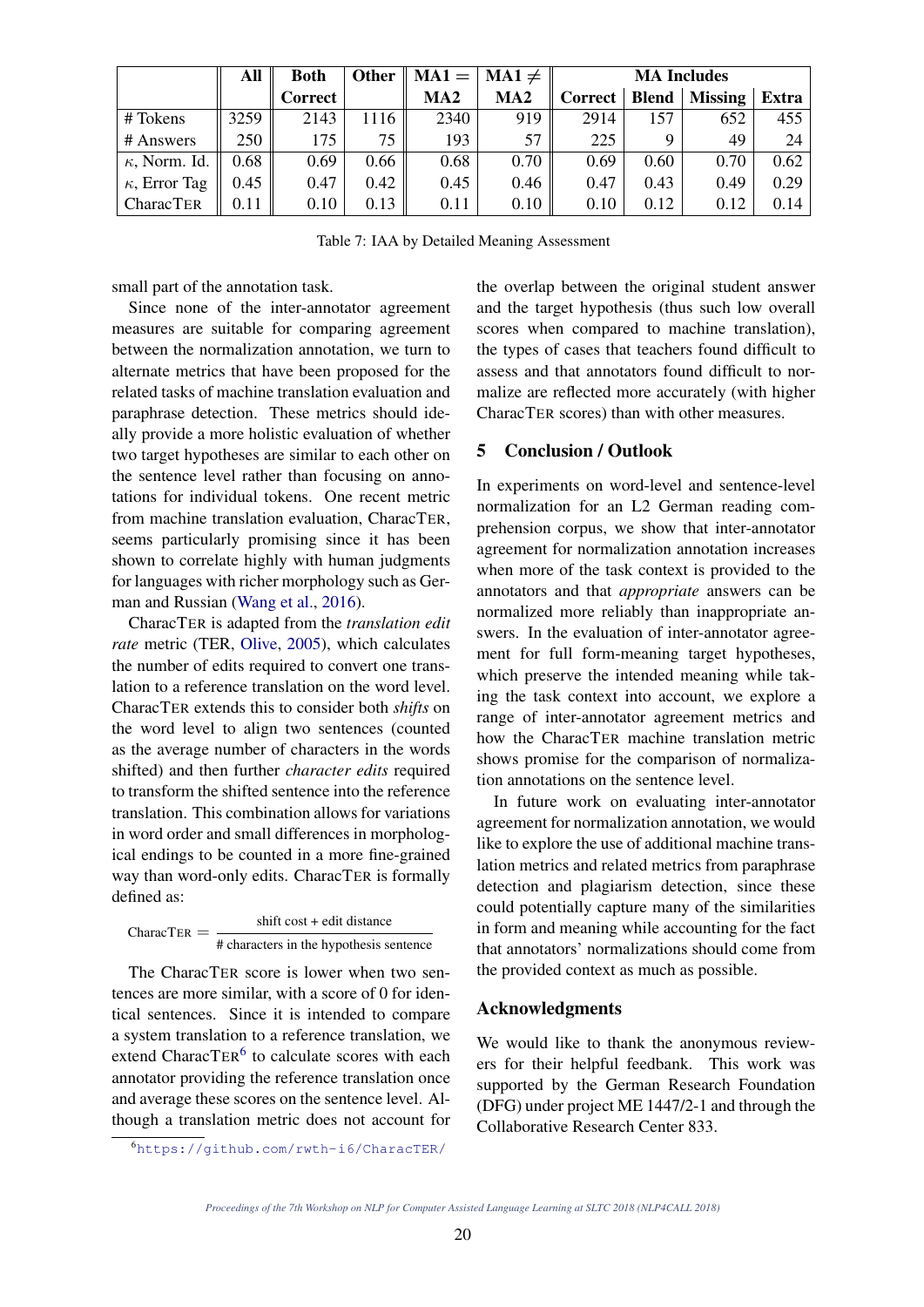|                      | All  | <b>Both</b> | Other |                 | $MA1 =   MA1 \neq$ | <b>MA Includes</b> |      |                        |       |
|----------------------|------|-------------|-------|-----------------|--------------------|--------------------|------|------------------------|-------|
|                      |      | Correct     |       | MA <sub>2</sub> | MA2                | Correct            |      | <b>Blend</b>   Missing | Extra |
| # Tokens             | 3259 | 2143        | 1116  | 2340            | 919                | 2914               | 157  | 652                    | 455   |
| # Answers            | 250  | 175         | 75    | 193             | 57                 | 225                |      | 49                     | 24    |
| $\kappa$ , Norm. Id. | 0.68 | 0.69        | 0.66  | 0.68            | 0.70               | 0.69               | 0.60 | 0.70                   | 0.62  |
| $\kappa$ , Error Tag | 0.45 | 0.47        | 0.42  | 0.45            | 0.46               | 0.47               | 0.43 | 0.49                   | 0.29  |
| <b>CharacTER</b>     | 0.11 | 0.10        | 0.13  | 0.11            | 0.10               | 0.10               | 0.12 | 0.12                   | 0.14  |

Table 7: IAA by Detailed Meaning Assessment

small part of the annotation task.

Since none of the inter-annotator agreement measures are suitable for comparing agreement between the normalization annotation, we turn to alternate metrics that have been proposed for the related tasks of machine translation evaluation and paraphrase detection. These metrics should ideally provide a more holistic evaluation of whether two target hypotheses are similar to each other on the sentence level rather than focusing on annotations for individual tokens. One recent metric from machine translation evaluation, CharacTER, seems particularly promising since it has been shown to correlate highly with human judgments for languages with richer morphology such as German and Russian (Wang et al., 2016).

CharacTER is adapted from the *translation edit rate* metric (TER, Olive, 2005), which calculates the number of edits required to convert one translation to a reference translation on the word level. CharacTER extends this to consider both *shifts* on the word level to align two sentences (counted as the average number of characters in the words shifted) and then further *character edits* required to transform the shifted sentence into the reference translation. This combination allows for variations in word order and small differences in morphological endings to be counted in a more fine-grained way than word-only edits. CharacTER is formally defined as:

 $Character =$ shift cost + edit distance # characters in the hypothesis sentence

The CharacTER score is lower when two sentences are more similar, with a score of 0 for identical sentences. Since it is intended to compare a system translation to a reference translation, we extend CharacTER<sup>6</sup> to calculate scores with each annotator providing the reference translation once and average these scores on the sentence level. Although a translation metric does not account for

<sup>6</sup>https://github.com/rwth-i6/CharacTER/

the overlap between the original student answer and the target hypothesis (thus such low overall scores when compared to machine translation), the types of cases that teachers found difficult to assess and that annotators found difficult to normalize are reflected more accurately (with higher CharacTER scores) than with other measures.

## 5 Conclusion / Outlook

In experiments on word-level and sentence-level normalization for an L2 German reading comprehension corpus, we show that inter-annotator agreement for normalization annotation increases when more of the task context is provided to the annotators and that *appropriate* answers can be normalized more reliably than inappropriate answers. In the evaluation of inter-annotator agreement for full form-meaning target hypotheses, which preserve the intended meaning while taking the task context into account, we explore a range of inter-annotator agreement metrics and how the CharacTER machine translation metric shows promise for the comparison of normalization annotations on the sentence level.

In future work on evaluating inter-annotator agreement for normalization annotation, we would like to explore the use of additional machine translation metrics and related metrics from paraphrase detection and plagiarism detection, since these could potentially capture many of the similarities in form and meaning while accounting for the fact that annotators' normalizations should come from the provided context as much as possible.

### Acknowledgments

We would like to thank the anonymous reviewers for their helpful feedbank. This work was supported by the German Research Foundation (DFG) under project ME 1447/2-1 and through the Collaborative Research Center 833.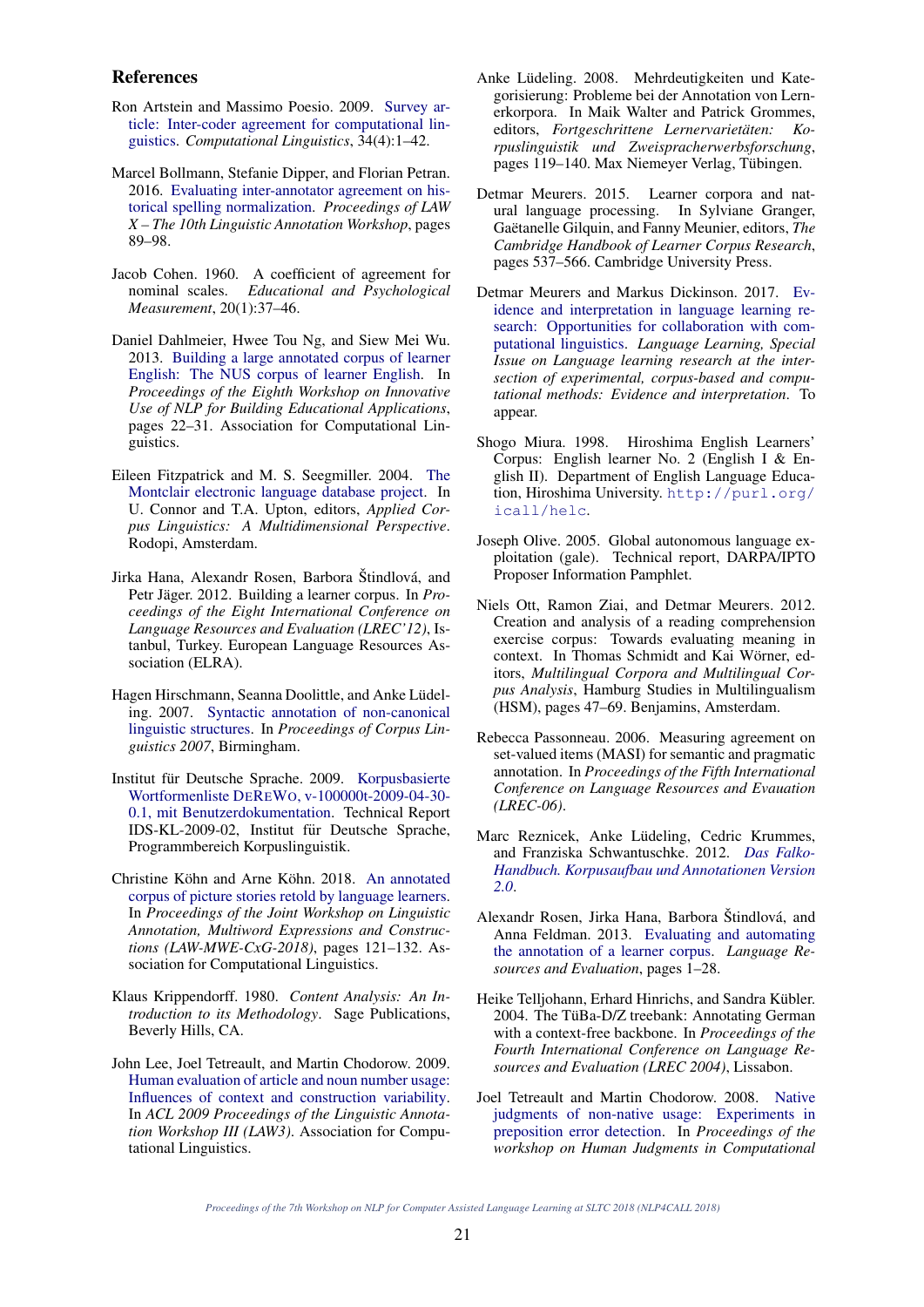#### References

- Ron Artstein and Massimo Poesio. 2009. Survey article: Inter-coder agreement for computational linguistics. *Computational Linguistics*, 34(4):1–42.
- Marcel Bollmann, Stefanie Dipper, and Florian Petran. 2016. Evaluating inter-annotator agreement on historical spelling normalization. *Proceedings of LAW X – The 10th Linguistic Annotation Workshop*, pages 89–98.
- Jacob Cohen. 1960. A coefficient of agreement for nominal scales. *Educational and Psychological Measurement*, 20(1):37–46.
- Daniel Dahlmeier, Hwee Tou Ng, and Siew Mei Wu. 2013. Building a large annotated corpus of learner English: The NUS corpus of learner English. In *Proceedings of the Eighth Workshop on Innovative Use of NLP for Building Educational Applications*, pages 22–31. Association for Computational Linguistics.
- Eileen Fitzpatrick and M. S. Seegmiller. 2004. The Montclair electronic language database project. In U. Connor and T.A. Upton, editors, *Applied Corpus Linguistics: A Multidimensional Perspective*. Rodopi, Amsterdam.
- Jirka Hana, Alexandr Rosen, Barbora Štindlová, and Petr Jäger. 2012. Building a learner corpus. In *Proceedings of the Eight International Conference on Language Resources and Evaluation (LREC'12)*, Istanbul, Turkey. European Language Resources Association (ELRA).
- Hagen Hirschmann, Seanna Doolittle, and Anke Lüdeling. 2007. Syntactic annotation of non-canonical linguistic structures. In *Proceedings of Corpus Linguistics 2007*, Birmingham.
- Institut für Deutsche Sprache. 2009. Korpusbasierte Wortformenliste DEREWO, v-100000t-2009-04-30- 0.1, mit Benutzerdokumentation. Technical Report IDS-KL-2009-02, Institut für Deutsche Sprache, Programmbereich Korpuslinguistik.
- Christine Köhn and Arne Köhn. 2018. An annotated corpus of picture stories retold by language learners. In *Proceedings of the Joint Workshop on Linguistic Annotation, Multiword Expressions and Constructions (LAW-MWE-CxG-2018)*, pages 121–132. Association for Computational Linguistics.
- Klaus Krippendorff. 1980. *Content Analysis: An Introduction to its Methodology*. Sage Publications, Beverly Hills, CA.
- John Lee, Joel Tetreault, and Martin Chodorow. 2009. Human evaluation of article and noun number usage: Influences of context and construction variability. In *ACL 2009 Proceedings of the Linguistic Annotation Workshop III (LAW3)*. Association for Computational Linguistics.
- Anke Lüdeling. 2008. Mehrdeutigkeiten und Kategorisierung: Probleme bei der Annotation von Lernerkorpora. In Maik Walter and Patrick Grommes, editors, *Fortgeschrittene Lernervarietaten: Ko- ¨ rpuslinguistik und Zweispracherwerbsforschung*, pages 119–140. Max Niemeyer Verlag, Tubingen. ¨
- Detmar Meurers. 2015. Learner corpora and natural language processing. In Sylviane Granger, Gaëtanelle Gilquin, and Fanny Meunier, editors, The *Cambridge Handbook of Learner Corpus Research*, pages 537–566. Cambridge University Press.
- Detmar Meurers and Markus Dickinson. 2017. Evidence and interpretation in language learning research: Opportunities for collaboration with computational linguistics. *Language Learning, Special Issue on Language learning research at the intersection of experimental, corpus-based and computational methods: Evidence and interpretation*. To appear.
- Shogo Miura. 1998. Hiroshima English Learners' Corpus: English learner No. 2 (English I & English II). Department of English Language Education, Hiroshima University. http://purl.org/ icall/helc.
- Joseph Olive. 2005. Global autonomous language exploitation (gale). Technical report, DARPA/IPTO Proposer Information Pamphlet.
- Niels Ott, Ramon Ziai, and Detmar Meurers. 2012. Creation and analysis of a reading comprehension exercise corpus: Towards evaluating meaning in context. In Thomas Schmidt and Kai Wörner, editors, *Multilingual Corpora and Multilingual Corpus Analysis*, Hamburg Studies in Multilingualism (HSM), pages 47–69. Benjamins, Amsterdam.
- Rebecca Passonneau. 2006. Measuring agreement on set-valued items (MASI) for semantic and pragmatic annotation. In *Proceedings of the Fifth International Conference on Language Resources and Evauation (LREC-06)*.
- Marc Reznicek, Anke Lüdeling, Cedric Krummes, and Franziska Schwantuschke. 2012. *Das Falko-Handbuch. Korpusaufbau und Annotationen Version 2.0*.
- Alexandr Rosen, Jirka Hana, Barbora Štindlová, and Anna Feldman. 2013. Evaluating and automating the annotation of a learner corpus. *Language Resources and Evaluation*, pages 1–28.
- Heike Telljohann, Erhard Hinrichs, and Sandra Kübler. 2004. The TüBa-D/Z treebank: Annotating German with a context-free backbone. In *Proceedings of the Fourth International Conference on Language Resources and Evaluation (LREC 2004)*, Lissabon.
- Joel Tetreault and Martin Chodorow. 2008. Native judgments of non-native usage: Experiments in preposition error detection. In *Proceedings of the workshop on Human Judgments in Computational*

*Proceedings of the 7th Workshop on NLP for Computer Assisted Language Learning at SLTC 2018 (NLP4CALL 2018)*